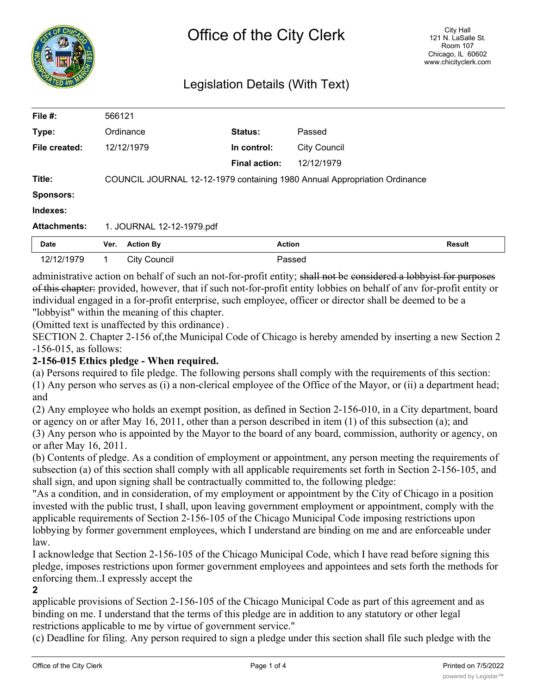

# Legislation Details (With Text)

| File $#$ :          | 566121                                                                    |                      |                     |               |
|---------------------|---------------------------------------------------------------------------|----------------------|---------------------|---------------|
| Type:               | Ordinance                                                                 | Status:              | Passed              |               |
| File created:       | 12/12/1979                                                                | In control:          | <b>City Council</b> |               |
|                     |                                                                           | <b>Final action:</b> | 12/12/1979          |               |
| Title:              | COUNCIL JOURNAL 12-12-1979 containing 1980 Annual Appropriation Ordinance |                      |                     |               |
| <b>Sponsors:</b>    |                                                                           |                      |                     |               |
| Indexes:            |                                                                           |                      |                     |               |
| <b>Attachments:</b> | 1. JOURNAL 12-12-1979.pdf                                                 |                      |                     |               |
| <b>Date</b>         | <b>Action By</b><br>Ver.                                                  | <b>Action</b>        |                     | <b>Result</b> |
| 12/12/1979          | <b>City Council</b>                                                       |                      | Passed              |               |

administrative action on behalf of such an not-for-profit entity; shall not be considered a lobbyist for purposes of this chapter: provided, however, that if such not-for-profit entity lobbies on behalf of anv for-profit entity or individual engaged in a for-profit enterprise, such employee, officer or director shall be deemed to be a "lobbyist" within the meaning of this chapter.

(Omitted text is unaffected by this ordinance) .

SECTION 2. Chapter 2-156 of,the Municipal Code of Chicago is hereby amended by inserting a new Section 2 -156-015, as follows:

# **2-156-015 Ethics pledge - When required.**

(a) Persons required to file pledge. The following persons shall comply with the requirements of this section:

(1) Any person who serves as (i) a non-clerical employee of the Office of the Mayor, or (ii) a department head; and

(2) Any employee who holds an exempt position, as defined in Section 2-156-010, in a City department, board or agency on or after May 16, 2011, other than a person described in item (1) of this subsection (a); and (3) Any person who is appointed by the Mayor to the board of any board, commission, authority or agency, on or after May 16, 2011.

(b) Contents of pledge. As a condition of employment or appointment, any person meeting the requirements of subsection (a) of this section shall comply with all applicable requirements set forth in Section 2-156-105, and shall sign, and upon signing shall be contractually committed to, the following pledge:

"As a condition, and in consideration, of my employment or appointment by the City of Chicago in a position invested with the public trust, I shall, upon leaving government employment or appointment, comply with the applicable requirements of Section 2-156-105 of the Chicago Municipal Code imposing restrictions upon lobbying by former government employees, which I understand are binding on me and are enforceable under law.

I acknowledge that Section 2-156-105 of the Chicago Municipal Code, which I have read before signing this pledge, imposes restrictions upon former government employees and appointees and sets forth the methods for enforcing them..I expressly accept the

**2**

applicable provisions of Section 2-156-105 of the Chicago Municipal Code as part of this agreement and as binding on me. I understand that the terms of this pledge are in addition to any statutory or other legal restrictions applicable to me by virtue of government service."

(c) Deadline for filing. Any person required to sign a pledge under this section shall file such pledge with the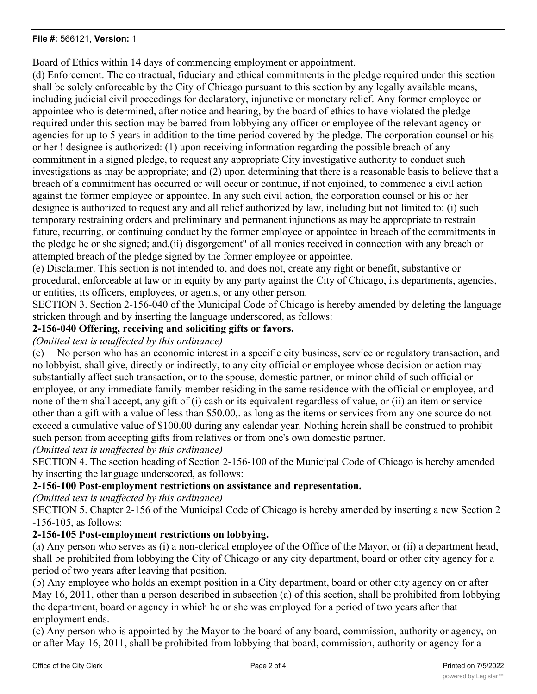#### **File #:** 566121, **Version:** 1

Board of Ethics within 14 days of commencing employment or appointment.

(d) Enforcement. The contractual, fiduciary and ethical commitments in the pledge required under this section shall be solely enforceable by the City of Chicago pursuant to this section by any legally available means, including judicial civil proceedings for declaratory, injunctive or monetary relief. Any former employee or appointee who is determined, after notice and hearing, by the board of ethics to have violated the pledge required under this section may be barred from lobbying any officer or employee of the relevant agency or agencies for up to 5 years in addition to the time period covered by the pledge. The corporation counsel or his or her ! designee is authorized: (1) upon receiving information regarding the possible breach of any commitment in a signed pledge, to request any appropriate City investigative authority to conduct such investigations as may be appropriate; and (2) upon determining that there is a reasonable basis to believe that a breach of a commitment has occurred or will occur or continue, if not enjoined, to commence a civil action against the former employee or appointee. In any such civil action, the corporation counsel or his or her designee is authorized to request any and all relief authorized by law, including but not limited to: (i) such temporary restraining orders and preliminary and permanent injunctions as may be appropriate to restrain future, recurring, or continuing conduct by the former employee or appointee in breach of the commitments in the pledge he or she signed; and.(ii) disgorgement" of all monies received in connection with any breach or attempted breach of the pledge signed by the former employee or appointee.

(e) Disclaimer. This section is not intended to, and does not, create any right or benefit, substantive or procedural, enforceable at law or in equity by any party against the City of Chicago, its departments, agencies, or entities, its officers, employees, or agents, or any other person.

SECTION 3. Section 2-156-040 of the Municipal Code of Chicago is hereby amended by deleting the language stricken through and by inserting the language underscored, as follows:

# **2-156-040 Offering, receiving and soliciting gifts or favors.**

#### *(Omitted text is unaffected by this ordinance)*

(c) No person who has an economic interest in a specific city business, service or regulatory transaction, and no lobbyist, shall give, directly or indirectly, to any city official or employee whose decision or action may substantially affect such transaction, or to the spouse, domestic partner, or minor child of such official or employee, or any immediate family member residing in the same residence with the official or employee, and none of them shall accept, any gift of (i) cash or its equivalent regardless of value, or (ii) an item or service other than a gift with a value of less than \$50.00,. as long as the items or services from any one source do not exceed a cumulative value of \$100.00 during any calendar year. Nothing herein shall be construed to prohibit such person from accepting gifts from relatives or from one's own domestic partner.

*(Omitted text is unaffected by this ordinance)*

SECTION 4. The section heading of Section 2-156-100 of the Municipal Code of Chicago is hereby amended by inserting the language underscored, as follows:

# **2-156-100 Post-employment restrictions on assistance and representation.**

*(Omitted text is unaffected by this ordinance)*

SECTION 5. Chapter 2-156 of the Municipal Code of Chicago is hereby amended by inserting a new Section 2 -156-105, as follows:

### **2-156-105 Post-employment restrictions on lobbying.**

(a) Any person who serves as (i) a non-clerical employee of the Office of the Mayor, or (ii) a department head, shall be prohibited from lobbying the City of Chicago or any city department, board or other city agency for a period of two years after leaving that position.

(b) Any employee who holds an exempt position in a City department, board or other city agency on or after May 16, 2011, other than a person described in subsection (a) of this section, shall be prohibited from lobbying the department, board or agency in which he or she was employed for a period of two years after that employment ends.

(c) Any person who is appointed by the Mayor to the board of any board, commission, authority or agency, on or after May 16, 2011, shall be prohibited from lobbying that board, commission, authority or agency for a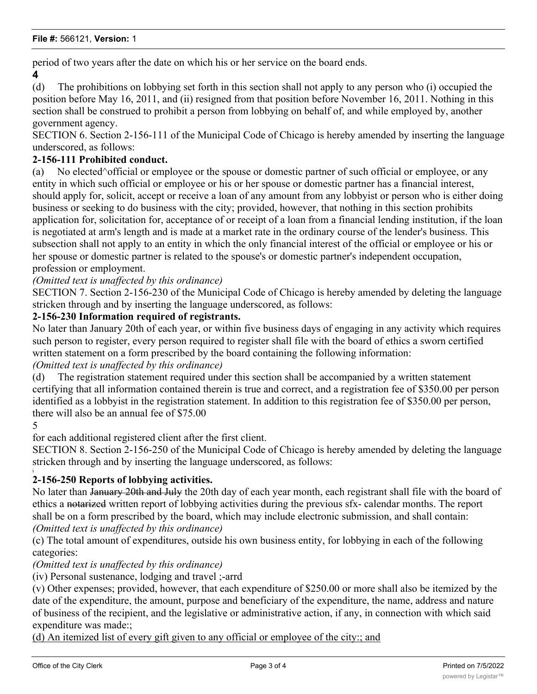period of two years after the date on which his or her service on the board ends.

**4**

(d) The prohibitions on lobbying set forth in this section shall not apply to any person who (i) occupied the position before May 16, 2011, and (ii) resigned from that position before November 16, 2011. Nothing in this section shall be construed to prohibit a person from lobbying on behalf of, and while employed by, another government agency.

SECTION 6. Section 2-156-111 of the Municipal Code of Chicago is hereby amended by inserting the language underscored, as follows:

#### **2-156-111 Prohibited conduct.**

(a) No elected^official or employee or the spouse or domestic partner of such official or employee, or any entity in which such official or employee or his or her spouse or domestic partner has a financial interest, should apply for, solicit, accept or receive a loan of any amount from any lobbyist or person who is either doing business or seeking to do business with the city; provided, however, that nothing in this section prohibits application for, solicitation for, acceptance of or receipt of a loan from a financial lending institution, if the loan is negotiated at arm's length and is made at a market rate in the ordinary course of the lender's business. This subsection shall not apply to an entity in which the only financial interest of the official or employee or his or her spouse or domestic partner is related to the spouse's or domestic partner's independent occupation, profession or employment.

*(Omitted text is unaffected by this ordinance)*

SECTION 7. Section 2-156-230 of the Municipal Code of Chicago is hereby amended by deleting the language stricken through and by inserting the language underscored, as follows:

### **2-156-230 Information required of registrants.**

No later than January 20th of each year, or within five business days of engaging in any activity which requires such person to register, every person required to register shall file with the board of ethics a sworn certified written statement on a form prescribed by the board containing the following information:

#### *(Omitted text is unaffected by this ordinance)*

(d) The registration statement required under this section shall be accompanied by a written statement certifying that all information contained therein is true and correct, and a registration fee of \$350.00 per person identified as a lobbyist in the registration statement. In addition to this registration fee of \$350.00 per person, there will also be an annual fee of \$75.00

5

for each additional registered client after the first client.

SECTION 8. Section 2-156-250 of the Municipal Code of Chicago is hereby amended by deleting the language stricken through and by inserting the language underscored, as follows:

#### i **2-156-250 Reports of lobbying activities.**

No later than January 20th and July the 20th day of each year month, each registrant shall file with the board of ethics a notarized written report of lobbying activities during the previous sfx- calendar months. The report shall be on a form prescribed by the board, which may include electronic submission, and shall contain: *(Omitted text is unaffected by this ordinance)*

(c) The total amount of expenditures, outside his own business entity, for lobbying in each of the following categories:

*(Omitted text is unaffected by this ordinance)*

(iv) Personal sustenance, lodging and travel ;-arrd

(v) Other expenses; provided, however, that each expenditure of \$250.00 or more shall also be itemized by the date of the expenditure, the amount, purpose and beneficiary of the expenditure, the name, address and nature of business of the recipient, and the legislative or administrative action, if any, in connection with which said expenditure was made:;

(d) An itemized list of every gift given to any official or employee of the city:; and